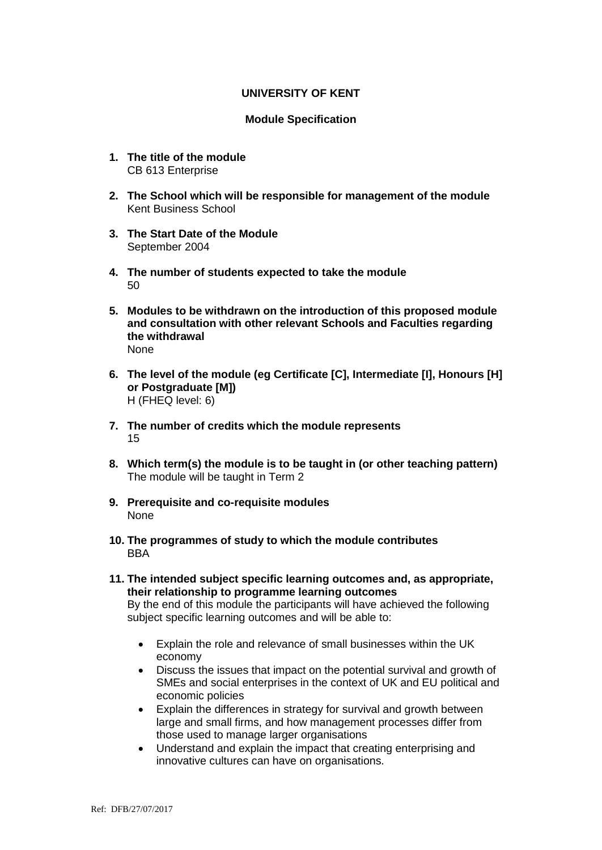# **UNIVERSITY OF KENT**

# **Module Specification**

- **1. The title of the module** CB 613 Enterprise
- **2. The School which will be responsible for management of the module** Kent Business School
- **3. The Start Date of the Module** September 2004
- **4. The number of students expected to take the module** 50
- **5. Modules to be withdrawn on the introduction of this proposed module and consultation with other relevant Schools and Faculties regarding the withdrawal** None
- **6. The level of the module (eg Certificate [C], Intermediate [I], Honours [H] or Postgraduate [M])** H (FHEQ level: 6)
- **7. The number of credits which the module represents**  15
- **8. Which term(s) the module is to be taught in (or other teaching pattern)** The module will be taught in Term 2
- **9. Prerequisite and co-requisite modules** None
- **10. The programmes of study to which the module contributes** BBA
- **11. The intended subject specific learning outcomes and, as appropriate, their relationship to programme learning outcomes** By the end of this module the participants will have achieved the following subject specific learning outcomes and will be able to:
	- Explain the role and relevance of small businesses within the UK economy
	- Discuss the issues that impact on the potential survival and growth of SMEs and social enterprises in the context of UK and EU political and economic policies
	- Explain the differences in strategy for survival and growth between large and small firms, and how management processes differ from those used to manage larger organisations
	- Understand and explain the impact that creating enterprising and innovative cultures can have on organisations.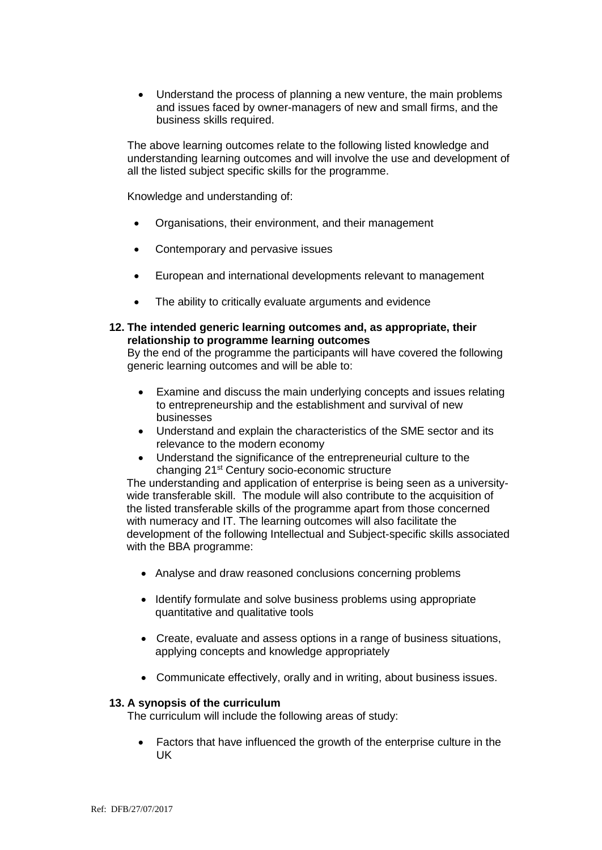• Understand the process of planning a new venture, the main problems and issues faced by owner-managers of new and small firms, and the business skills required.

The above learning outcomes relate to the following listed knowledge and understanding learning outcomes and will involve the use and development of all the listed subject specific skills for the programme.

Knowledge and understanding of:

- Organisations, their environment, and their management
- Contemporary and pervasive issues
- European and international developments relevant to management
- The ability to critically evaluate arguments and evidence

#### **12. The intended generic learning outcomes and, as appropriate, their relationship to programme learning outcomes**

By the end of the programme the participants will have covered the following generic learning outcomes and will be able to:

- Examine and discuss the main underlying concepts and issues relating to entrepreneurship and the establishment and survival of new businesses
- Understand and explain the characteristics of the SME sector and its relevance to the modern economy
- Understand the significance of the entrepreneurial culture to the changing 21st Century socio-economic structure

The understanding and application of enterprise is being seen as a universitywide transferable skill. The module will also contribute to the acquisition of the listed transferable skills of the programme apart from those concerned with numeracy and IT. The learning outcomes will also facilitate the development of the following Intellectual and Subject-specific skills associated with the BBA programme:

- Analyse and draw reasoned conclusions concerning problems
- Identify formulate and solve business problems using appropriate quantitative and qualitative tools
- Create, evaluate and assess options in a range of business situations, applying concepts and knowledge appropriately
- Communicate effectively, orally and in writing, about business issues.

#### **13. A synopsis of the curriculum**

The curriculum will include the following areas of study:

 Factors that have influenced the growth of the enterprise culture in the UK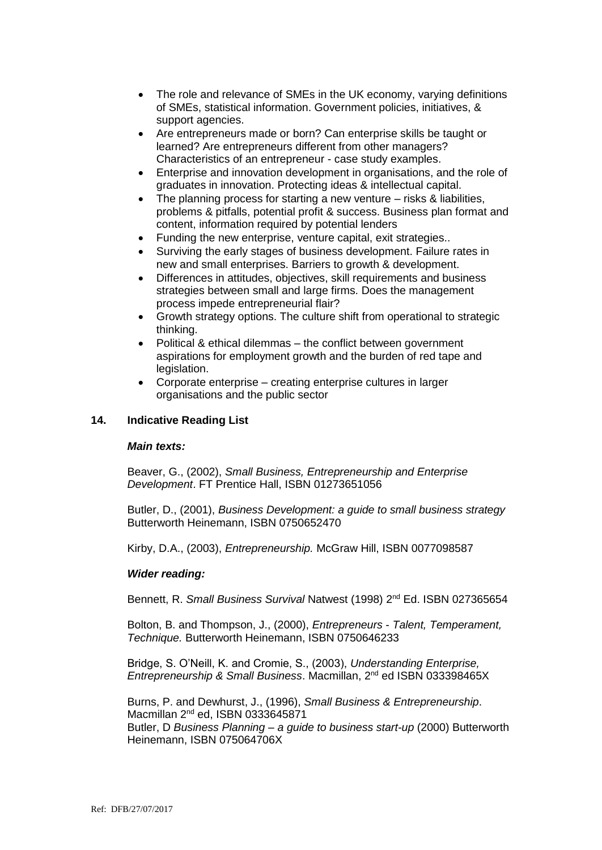- The role and relevance of SMEs in the UK economy, varying definitions of SMEs, statistical information. Government policies, initiatives, & support agencies.
- Are entrepreneurs made or born? Can enterprise skills be taught or learned? Are entrepreneurs different from other managers? Characteristics of an entrepreneur - case study examples.
- Enterprise and innovation development in organisations, and the role of graduates in innovation. Protecting ideas & intellectual capital.
- The planning process for starting a new venture risks & liabilities, problems & pitfalls, potential profit & success. Business plan format and content, information required by potential lenders
- Funding the new enterprise, venture capital, exit strategies..
- Surviving the early stages of business development. Failure rates in new and small enterprises. Barriers to growth & development.
- Differences in attitudes, objectives, skill requirements and business strategies between small and large firms. Does the management process impede entrepreneurial flair?
- Growth strategy options. The culture shift from operational to strategic thinking.
- Political & ethical dilemmas the conflict between government aspirations for employment growth and the burden of red tape and legislation.
- Corporate enterprise creating enterprise cultures in larger organisations and the public sector

# **14. Indicative Reading List**

# *Main texts:*

Beaver, G., (2002), *Small Business, Entrepreneurship and Enterprise Development*. FT Prentice Hall, ISBN 01273651056

Butler, D., (2001), *Business Development: a guide to small business strategy* Butterworth Heinemann, ISBN 0750652470

Kirby, D.A., (2003), *Entrepreneurship.* McGraw Hill, ISBN 0077098587

# *Wider reading:*

Bennett, R. *Small Business Survival* Natwest (1998) 2nd Ed. ISBN 027365654

Bolton, B. and Thompson, J., (2000), *Entrepreneurs* - *Talent, Temperament, Technique.* Butterworth Heinemann, ISBN 0750646233

Bridge, S. O'Neill, K. and Cromie, S., (2003), *Understanding Enterprise, Entrepreneurship & Small Business*. Macmillan, 2nd ed ISBN 033398465X

Burns, P. and Dewhurst, J., (1996), *Small Business & Entrepreneurship*. Macmillan 2<sup>nd</sup> ed, ISBN 0333645871 Butler, D *Business Planning – a guide to business start-up* (2000) Butterworth Heinemann, ISBN 075064706X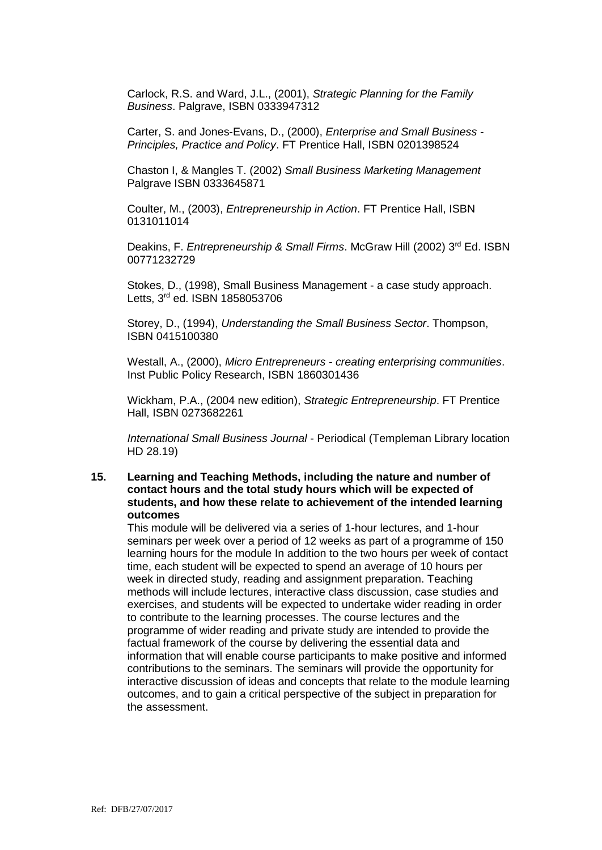Carlock, R.S. and Ward, J.L., (2001), *Strategic Planning for the Family Business*. Palgrave, ISBN 0333947312

Carter, S. and Jones-Evans, D., (2000), *Enterprise and Small Business - Principles, Practice and Policy*. FT Prentice Hall, ISBN 0201398524

Chaston I, & Mangles T. (2002) *Small Business Marketing Management*  Palgrave ISBN 0333645871

Coulter, M., (2003), *Entrepreneurship in Action*. FT Prentice Hall, ISBN 0131011014

Deakins, F. *Entrepreneurship & Small Firms*. McGraw Hill (2002) 3rd Ed. ISBN 00771232729

Stokes, D., (1998), Small Business Management - a case study approach. Letts, 3rd ed. ISBN 1858053706

Storey, D., (1994), *Understanding the Small Business Sector*. Thompson, ISBN 0415100380

Westall, A., (2000), *Micro Entrepreneurs - creating enterprising communities*. Inst Public Policy Research, ISBN 1860301436

Wickham, P.A., (2004 new edition), *Strategic Entrepreneurship*. FT Prentice Hall, ISBN 0273682261

*International Small Business Journal* - Periodical (Templeman Library location HD 28.19)

#### **15. Learning and Teaching Methods, including the nature and number of contact hours and the total study hours which will be expected of students, and how these relate to achievement of the intended learning outcomes**

This module will be delivered via a series of 1-hour lectures, and 1-hour seminars per week over a period of 12 weeks as part of a programme of 150 learning hours for the module In addition to the two hours per week of contact time, each student will be expected to spend an average of 10 hours per week in directed study, reading and assignment preparation. Teaching methods will include lectures, interactive class discussion, case studies and exercises, and students will be expected to undertake wider reading in order to contribute to the learning processes. The course lectures and the programme of wider reading and private study are intended to provide the factual framework of the course by delivering the essential data and information that will enable course participants to make positive and informed contributions to the seminars. The seminars will provide the opportunity for interactive discussion of ideas and concepts that relate to the module learning outcomes, and to gain a critical perspective of the subject in preparation for the assessment.